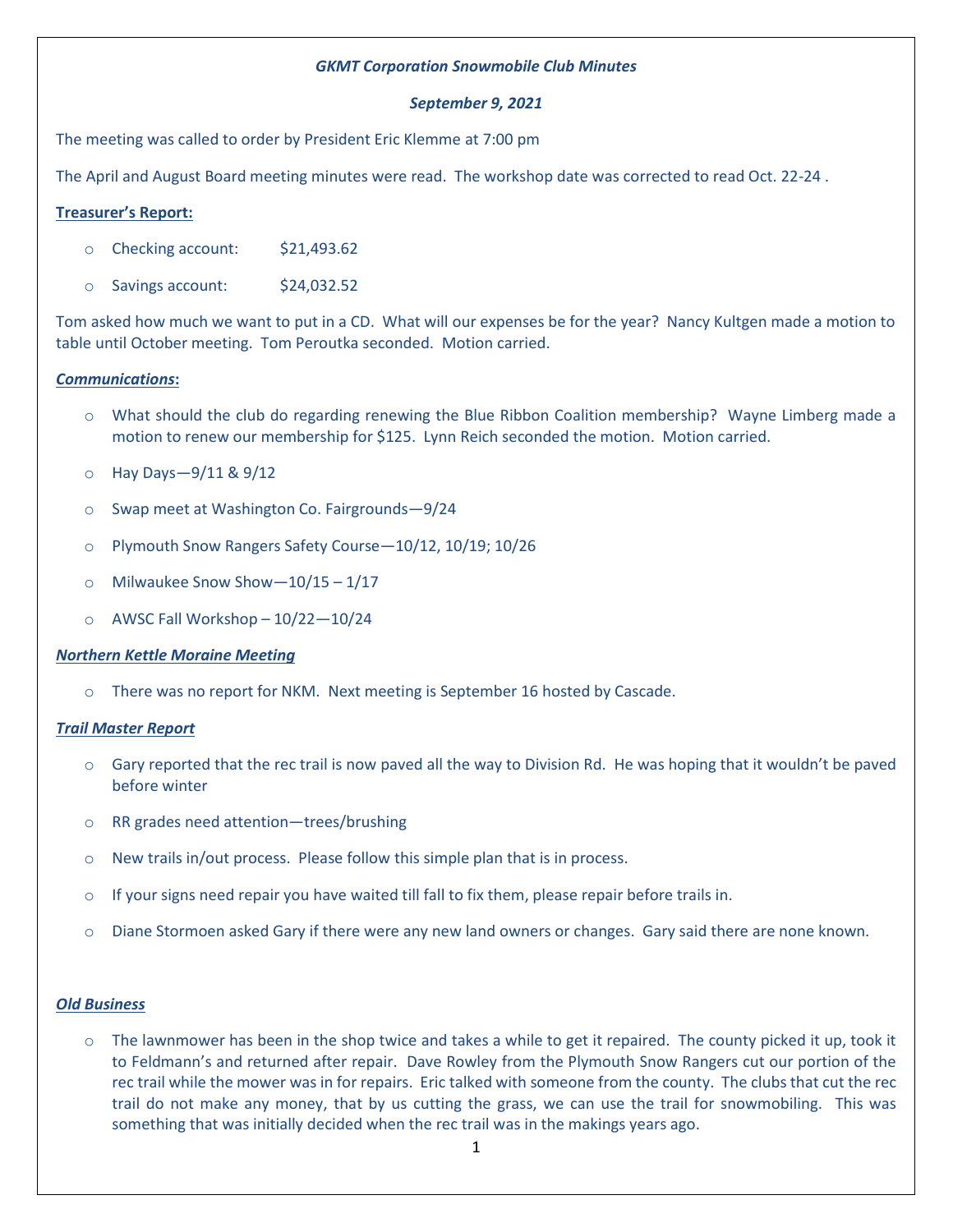## *GKMT Corporation Snowmobile Club Minutes*

#### *September 9, 2021*

The meeting was called to order by President Eric Klemme at 7:00 pm

The April and August Board meeting minutes were read. The workshop date was corrected to read Oct. 22-24 .

### **Treasurer's Report:**

- o Checking account: \$21,493.62
- o Savings account: \$24,032.52

Tom asked how much we want to put in a CD. What will our expenses be for the year? Nancy Kultgen made a motion to table until October meeting. Tom Peroutka seconded. Motion carried.

# *Communications***:**

- o What should the club do regarding renewing the Blue Ribbon Coalition membership? Wayne Limberg made a motion to renew our membership for \$125. Lynn Reich seconded the motion. Motion carried.
- o Hay Days—9/11 & 9/12
- o Swap meet at Washington Co. Fairgrounds—9/24
- o Plymouth Snow Rangers Safety Course—10/12, 10/19; 10/26
- $\circ$  Milwaukee Snow Show-10/15 1/17
- $\circ$  AWSC Fall Workshop 10/22-10/24

#### *Northern Kettle Moraine Meeting*

o There was no report for NKM. Next meeting is September 16 hosted by Cascade.

#### *Trail Master Report*

- $\circ$  Gary reported that the rec trail is now paved all the way to Division Rd. He was hoping that it wouldn't be paved before winter
- o RR grades need attention—trees/brushing
- $\circ$  New trails in/out process. Please follow this simple plan that is in process.
- $\circ$  If your signs need repair you have waited till fall to fix them, please repair before trails in.
- o Diane Stormoen asked Gary if there were any new land owners or changes. Gary said there are none known.

#### *Old Business*

o The lawnmower has been in the shop twice and takes a while to get it repaired. The county picked it up, took it to Feldmann's and returned after repair. Dave Rowley from the Plymouth Snow Rangers cut our portion of the rec trail while the mower was in for repairs. Eric talked with someone from the county. The clubs that cut the rec trail do not make any money, that by us cutting the grass, we can use the trail for snowmobiling. This was something that was initially decided when the rec trail was in the makings years ago.